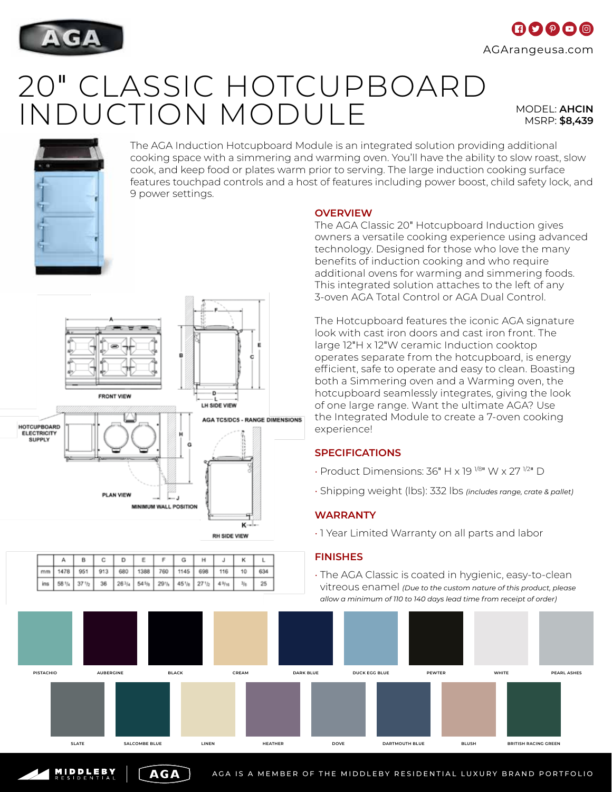

# $\mathbf \Omega$   $\mathbf 0$   $\mathbf 0$   $\mathbf 0$ AGArangeusa.com

# 20" CLASSIC HOTCUPBOARD INDUCTION MODULE MODEL: **AHCIN**

LH SIDE VIEW

**AGA TC5/DC5 - RANGE DIMENSIONS** 

ĸ RH SIDE VIEW MSRP: **\$8,439**



HOTCUPBOARD<br>ELECTRICITY **SUPPLY** 

The AGA Induction Hotcupboard Module is an integrated solution providing additional cooking space with a simmering and warming oven. You'll have the ability to slow roast, slow cook, and keep food or plates warm prior to serving. The large induction cooking surface features touchpad controls and a host of features including power boost, child safety lock, and 9 power settings.

**OVERVIEW**

The AGA Classic 20" Hotcupboard Induction gives owners a versatile cooking experience using advanced technology. Designed for those who love the many benefits of induction cooking and who require additional ovens for warming and simmering foods. This integrated solution attaches to the left of any 3-oven AGA Total Control or AGA Dual Control.

The Hotcupboard features the iconic AGA signature look with cast iron doors and cast iron front. The large 12"H x 12"W ceramic Induction cooktop operates separate from the hotcupboard, is energy efficient, safe to operate and easy to clean. Boasting both a Simmering oven and a Warming oven, the hotcupboard seamlessly integrates, giving the look of one large range. Want the ultimate AGA? Use the Integrated Module to create a 7-oven cooking experience!

## **SPECIFICATIONS**

- Product Dimensions: 36" H x 19 1/8" W x 27 1/2" D
- Shipping weight (lbs): 332 lbs *(includes range, crate & pallet)*

## **WARRANTY**

• 1 Year Limited Warranty on all parts and labor

AGA IS A MEMBER OF THE MIDDLEBY RESIDENTIAL LUXURY BRAND PORTFOLIO

### **FINISHES**

• The AGA Classic is coated in hygienic, easy-to-clean vitreous enamel *(Due to the custom nature of this product, please allow a minimum of 110 to 140 days lead time from receipt of order)*



### $\overline{B}$ c  $\overline{D}$ E F G  $H$  $\mathsf{J}$ ĸ  $\mathbf{L}$ A 634 1478 951 913 680 1388 760 1145 698 116  $10$  $36\,$  $54\frac{5}{9}$  $25\,$ 58% 37%  $26^{3}/4$ 29% 45%  $27<sub>1h</sub>$  $4\%$  $3y$

**AGA** 

- 4 MINIMUM WALL POSITION

**FRONT VIEW** 

**PLAN VIEW** 

MIDDLEBY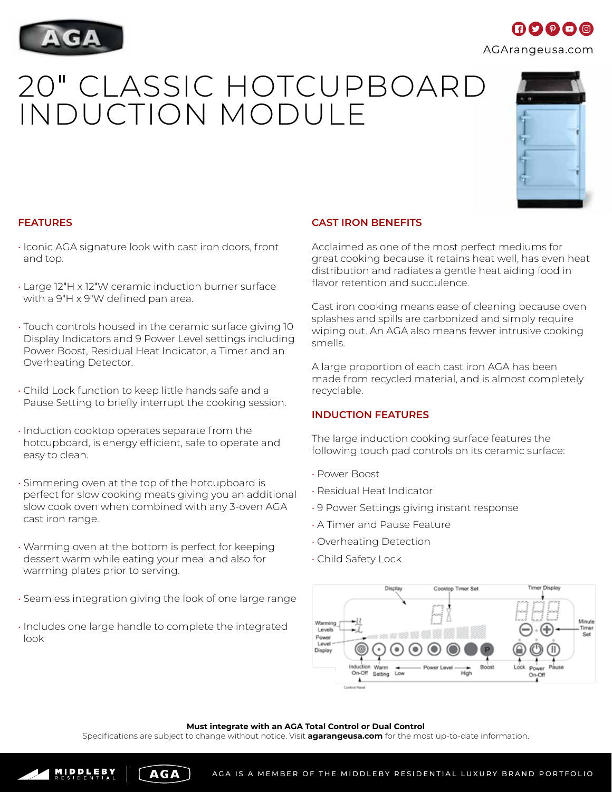

# **FEATURES**

- Iconic AGA signature look with cast iron doors, front and top.
- Large 12"H x 12"W ceramic induction burner surface with a 9"H x 9"W defined pan area.
- Touch controls housed in the ceramic surface giving 10 Display Indicators and 9 Power Level settings including Power Boost, Residual Heat Indicator, a Timer and an Overheating Detector.
- Child Lock function to keep little hands safe and a Pause Setting to briefly interrupt the cooking session.
- Induction cooktop operates separate from the hotcupboard, is energy efficient, safe to operate and easy to clean.
- Simmering oven at the top of the hotcupboard is perfect for slow cooking meats giving you an additional slow cook oven when combined with any 3-oven AGA cast iron range.
- Warming oven at the bottom is perfect for keeping dessert warm while eating your meal and also for warming plates prior to serving.
- Seamless integration giving the look of one large range
- Includes one large handle to complete the integrated look

MIDDLEBY

# **CAST IRON BENEFITS**

Acclaimed as one of the most perfect mediums for great cooking because it retains heat well, has even heat distribution and radiates a gentle heat aiding food in flavor retention and succulence.

Cast iron cooking means ease of cleaning because oven splashes and spills are carbonized and simply require wiping out. An AGA also means fewer intrusive cooking smells.

A large proportion of each cast iron AGA has been made from recycled material, and is almost completely recyclable.

# **INDUCTION FEATURES**

The large induction cooking surface features the following touch pad controls on its ceramic surface:

Cooktop Timer Set

- Power Boost
- Residual Heat Indicator
- 9 Power Settings giving instant response

Low

- A Timer and Pause Feature
- Overheating Detection
- Child Safety Lock

Induction On-Off Setting

٨.



Specifications are subject to change without notice. Visit **agarangeusa.com** for the most up-to-date information.

Warming Levels

Power Level Display





imer Display

Minute



INDUCTION MODULE

20" CLASSIC HOTCUPBOARD

 $\blacksquare$  $\blacksquare$  $\blacksquare$  $\blacksquare$  $\blacksquare$  $\blacksquare$ AGArangeusa.com